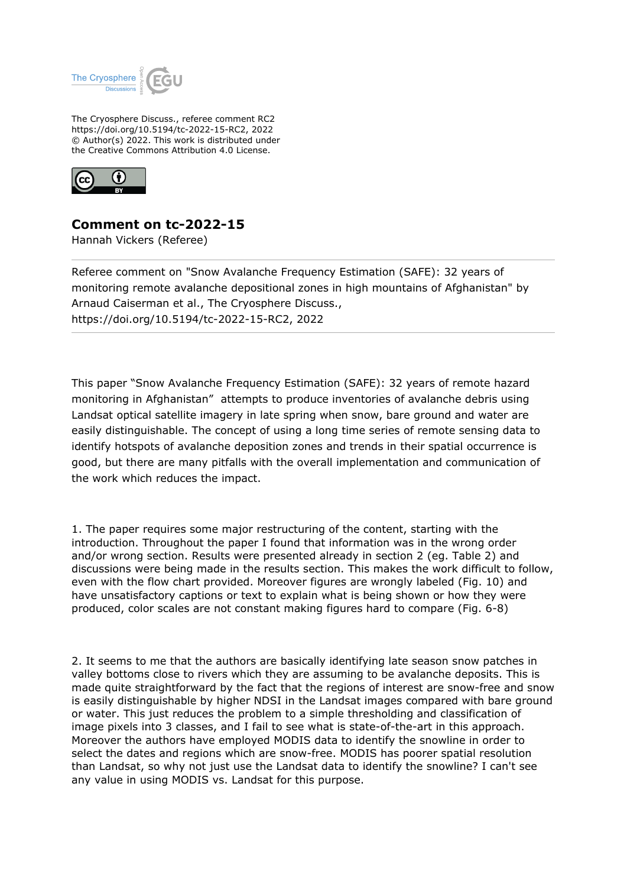

The Cryosphere Discuss., referee comment RC2 https://doi.org/10.5194/tc-2022-15-RC2, 2022 © Author(s) 2022. This work is distributed under the Creative Commons Attribution 4.0 License.



## **Comment on tc-2022-15**

Hannah Vickers (Referee)

Referee comment on "Snow Avalanche Frequency Estimation (SAFE): 32 years of monitoring remote avalanche depositional zones in high mountains of Afghanistan" by Arnaud Caiserman et al., The Cryosphere Discuss., https://doi.org/10.5194/tc-2022-15-RC2, 2022

This paper "Snow Avalanche Frequency Estimation (SAFE): 32 years of remote hazard monitoring in Afghanistan" attempts to produce inventories of avalanche debris using Landsat optical satellite imagery in late spring when snow, bare ground and water are easily distinguishable. The concept of using a long time series of remote sensing data to identify hotspots of avalanche deposition zones and trends in their spatial occurrence is good, but there are many pitfalls with the overall implementation and communication of the work which reduces the impact.

1. The paper requires some major restructuring of the content, starting with the introduction. Throughout the paper I found that information was in the wrong order and/or wrong section. Results were presented already in section 2 (eg. Table 2) and discussions were being made in the results section. This makes the work difficult to follow, even with the flow chart provided. Moreover figures are wrongly labeled (Fig. 10) and have unsatisfactory captions or text to explain what is being shown or how they were produced, color scales are not constant making figures hard to compare (Fig. 6-8)

2. It seems to me that the authors are basically identifying late season snow patches in valley bottoms close to rivers which they are assuming to be avalanche deposits. This is made quite straightforward by the fact that the regions of interest are snow-free and snow is easily distinguishable by higher NDSI in the Landsat images compared with bare ground or water. This just reduces the problem to a simple thresholding and classification of image pixels into 3 classes, and I fail to see what is state-of-the-art in this approach. Moreover the authors have employed MODIS data to identify the snowline in order to select the dates and regions which are snow-free. MODIS has poorer spatial resolution than Landsat, so why not just use the Landsat data to identify the snowline? I can't see any value in using MODIS vs. Landsat for this purpose.